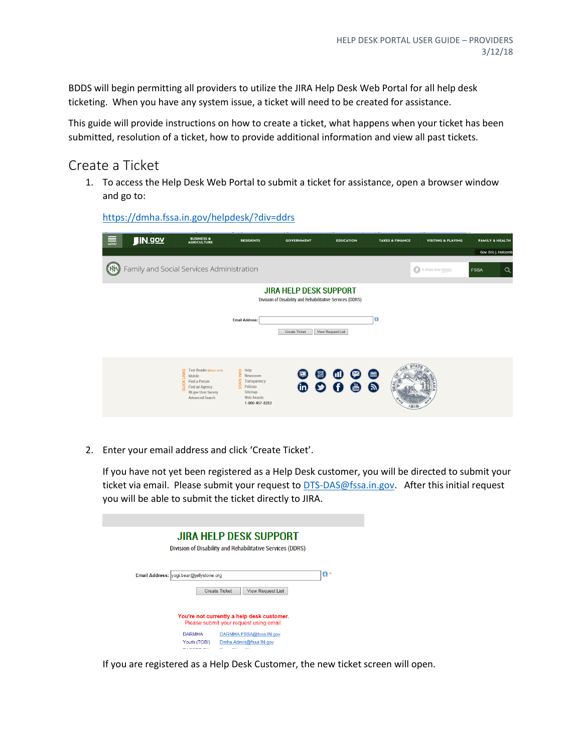BDDS will begin permitting all providers to utilize the JIRA Help Desk Web Portal for all help desk ticketing. When you have any system issue, a ticket will need to be created for assistance.

This guide will provide instructions on how to create a ticket, what happens when your ticket has been submitted, resolution of a ticket, how to provide additional information and view all past tickets.

## Create a Ticket

1. To access the Help Desk Web Portal to submit a ticket for assistance, open a browser window and go to:

| 壽 | J/N.90Y                                   | <b>BUSINESS &amp;</b><br><b>AGRICULTURE</b>                                                                                                           | <b>RESIDENTS</b>                                                                                                                    | <b>GOVERNMENT</b>                                                                          | <b>EDUCATION</b>         | <b>TAXES &amp; FINANCE</b> | <b>VISITING &amp; PLAYING</b> | <b>FAMILY &amp; HEALTH</b> |
|---|-------------------------------------------|-------------------------------------------------------------------------------------------------------------------------------------------------------|-------------------------------------------------------------------------------------------------------------------------------------|--------------------------------------------------------------------------------------------|--------------------------|----------------------------|-------------------------------|----------------------------|
|   |                                           |                                                                                                                                                       |                                                                                                                                     |                                                                                            |                          |                            |                               | Gov. Eric J. Holcomb       |
|   | Family and Social Services Administration |                                                                                                                                                       |                                                                                                                                     |                                                                                            |                          |                            | A State that Works            | $\alpha$<br><b>FSSA</b>    |
|   |                                           |                                                                                                                                                       |                                                                                                                                     | <b>JIRA HELP DESK SUPPORT</b><br>Division of Disability and Rehabilitative Services (DDRS) |                          |                            |                               |                            |
|   |                                           |                                                                                                                                                       | <b>Email Address:</b>                                                                                                               | <b>Create Ticket</b>                                                                       | <b>View Request List</b> | G)                         |                               |                            |
|   |                                           | Text Reader (What's this?)<br><b>LINKS</b><br>Mobile<br>Find a Person<br><b>Find an Agency</b><br><b>IN.gov User Survey</b><br><b>Advanced Search</b> | D<br>Mews<br>II<br>Trans<br>Polici<br>Newsroom<br>Transparency<br>Policies<br><b>Sitemap</b><br><b>Web Awards</b><br>1-800-457-8283 | F.<br>60 Q                                                                                 | ω<br>$\bullet$           | 圃<br>$\bullet$<br>a te     |                               |                            |

<https://dmha.fssa.in.gov/helpdesk/?div=ddrs>

2. Enter your email address and click 'Create Ticket'.

If you have not yet been registered as a Help Desk customer, you will be directed to submit your ticket via email. Please submit your request to [DTS-DAS@fssa.in.gov.](mailto:DTS-DAS@fssa.in.gov) After this initial request you will be able to submit the ticket directly to JIRA.

| JIRA HELP DESK SUPPORT<br>Division of Disability and Rehabilitative Services (DDRS)         |           |
|---------------------------------------------------------------------------------------------|-----------|
| Email Address: vogi.bear@jellystone.org<br><b>View Request List</b><br><b>Create Ticket</b> | <b>CD</b> |
| You're not currently a help desk customer.<br>Please submit your request using email.       |           |
| <b>DARMHA</b><br>DARMHA.FSSA@fssa.IN.gov                                                    |           |
| Youth (TOBI)<br>Dmha.Admin@fssa.IN.gov<br><b>PIANER</b><br><b>ALC 15</b><br>--              |           |

If you are registered as a Help Desk Customer, the new ticket screen will open.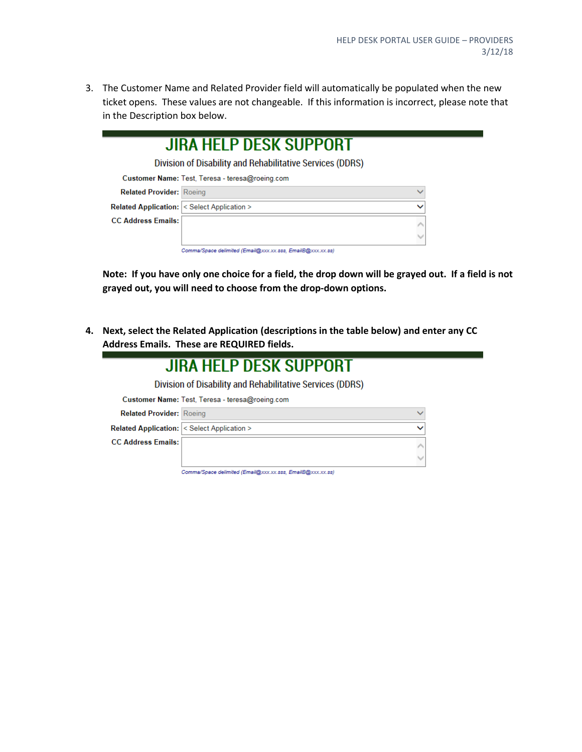3. The Customer Name and Related Provider field will automatically be populated when the new ticket opens. These values are not changeable. If this information is incorrect, please note that in the Description box below.

|                                                          | JIRA HELP DESK SUPPORT<br>Division of Disability and Rehabilitative Services (DDRS) |  |
|----------------------------------------------------------|-------------------------------------------------------------------------------------|--|
|                                                          | Customer Name: Test, Teresa - teresa@roeing.com                                     |  |
| <b>Related Provider: Roeing</b>                          |                                                                                     |  |
| <b>Related Application: &lt; Select Application &gt;</b> |                                                                                     |  |
| <b>CC Address Emails:</b>                                |                                                                                     |  |
|                                                          |                                                                                     |  |
|                                                          | Comma/Space delimited (Email@xxx.xx.sss, EmailB@xxx.xx.ss)                          |  |

**Note: If you have only one choice for a field, the drop down will be grayed out. If a field is not grayed out, you will need to choose from the drop-down options.**

**4. Next, select the Related Application (descriptions in the table below) and enter any CC Address Emails. These are REQUIRED fields.**

 $\mathcal{L}_{\mathcal{A}}$ 

|                                 | JIRA HELP DESK SUPPORT                                    |  |
|---------------------------------|-----------------------------------------------------------|--|
|                                 | Division of Disability and Rehabilitative Services (DDRS) |  |
|                                 | Customer Name: Test, Teresa - teresa@roeing.com           |  |
| <b>Related Provider: Roeing</b> |                                                           |  |
|                                 | <b>Related Application: &lt; Select Application &gt;</b>  |  |
| <b>CC Address Emails:</b>       |                                                           |  |
|                                 |                                                           |  |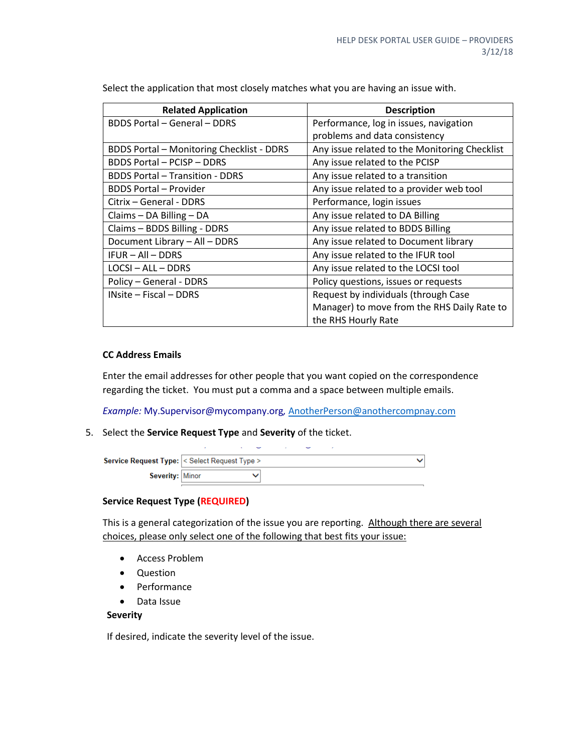| <b>Related Application</b>                       | <b>Description</b>                            |
|--------------------------------------------------|-----------------------------------------------|
| <b>BDDS Portal - General - DDRS</b>              | Performance, log in issues, navigation        |
|                                                  | problems and data consistency                 |
| <b>BDDS Portal - Monitoring Checklist - DDRS</b> | Any issue related to the Monitoring Checklist |
| <b>BDDS Portal – PCISP – DDRS</b>                | Any issue related to the PCISP                |
| <b>BDDS Portal - Transition - DDRS</b>           | Any issue related to a transition             |
| <b>BDDS Portal - Provider</b>                    | Any issue related to a provider web tool      |
| Citrix – General - DDRS                          | Performance, login issues                     |
| Claims $-$ DA Billing $-$ DA                     | Any issue related to DA Billing               |
| Claims - BDDS Billing - DDRS                     | Any issue related to BDDS Billing             |
| Document Library - All - DDRS                    | Any issue related to Document library         |
| $IFUR - All - DDRS$                              | Any issue related to the IFUR tool            |
| $LOGI - ALL - DDRS$                              | Any issue related to the LOCSI tool           |
| Policy - General - DDRS                          | Policy questions, issues or requests          |
| INsite - Fiscal - DDRS                           | Request by individuals (through Case          |
|                                                  | Manager) to move from the RHS Daily Rate to   |
|                                                  | the RHS Hourly Rate                           |

Select the application that most closely matches what you are having an issue with.

#### **CC Address Emails**

Enter the email addresses for other people that you want copied on the correspondence regarding the ticket. You must put a comma and a space between multiple emails.

*Example:* My.Supervisor@mycompany.org*,* [AnotherPerson@anothercompnay.com](mailto:AnotherPerson@anothercompnay.com)

5. Select the **Service Request Type** and **Severity** of the ticket.

| <b>Service Request Type:   &lt; Select Request Type &gt;</b> |  |  |  |  |  |  |
|--------------------------------------------------------------|--|--|--|--|--|--|
| Severity: Minor                                              |  |  |  |  |  |  |

#### **Service Request Type (REQUIRED)**

This is a general categorization of the issue you are reporting. Although there are several choices, please only select one of the following that best fits your issue:

- Access Problem
- Question
- Performance
- Data Issue

#### **Severity**

If desired, indicate the severity level of the issue.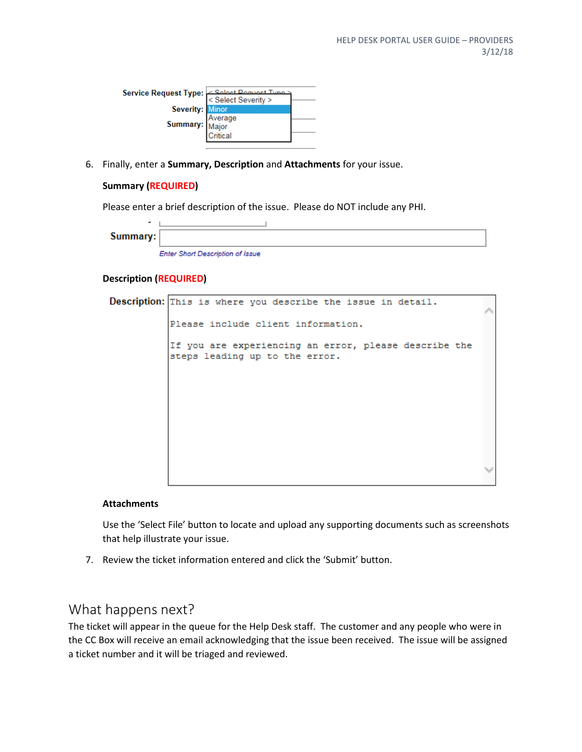| Service Request Type: < Select Pequest Type: < Select Severity > |  |
|------------------------------------------------------------------|--|
| <b>Severity: Minor</b>                                           |  |
| <b>Summary:</b> Average<br>Major<br>Critical                     |  |
|                                                                  |  |

6. Finally, enter a **Summary, Description** and **Attachments** for your issue.

#### **Summary (REQUIRED)**

Please enter a brief description of the issue. Please do NOT include any PHI.

| Summary: |                                         |
|----------|-----------------------------------------|
|          | <b>Enter Short Description of Issue</b> |

#### **Description (REQUIRED)**

Description: This is where you describe the issue in detail. Please include client information. If you are experiencing an error, please describe the steps leading up to the error.

#### **Attachments**

Use the 'Select File' button to locate and upload any supporting documents such as screenshots that help illustrate your issue.

7. Review the ticket information entered and click the 'Submit' button.

## What happens next?

The ticket will appear in the queue for the Help Desk staff. The customer and any people who were in the CC Box will receive an email acknowledging that the issue been received. The issue will be assigned a ticket number and it will be triaged and reviewed.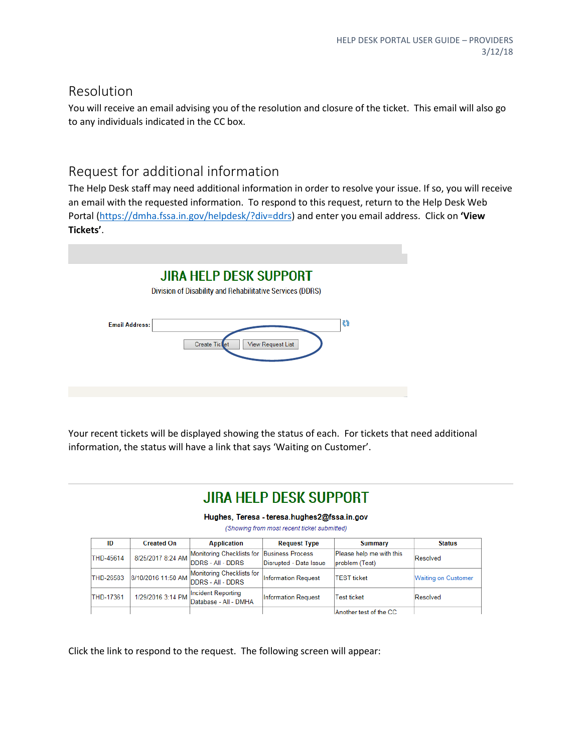### Resolution

You will receive an email advising you of the resolution and closure of the ticket. This email will also go to any individuals indicated in the CC box.

## Request for additional information

The Help Desk staff may need additional information in order to resolve your issue. If so, you will receive an email with the requested information. To respond to this request, return to the Help Desk Web Portal [\(https://dmha.fssa.in.gov/helpdesk/?div=ddrs\)](https://dmha.fssa.in.gov/helpdesk/?div=ddrs) and enter you email address. Click on **'View Tickets'**.

|                       | <b>JIRA HELP DESK SUPPORT</b><br>Division of Disability and Rehabilitative Services (DDRS) |                          |    |  |
|-----------------------|--------------------------------------------------------------------------------------------|--------------------------|----|--|
| <b>Email Address:</b> | <b>Create Ticket</b>                                                                       | <b>View Request List</b> | 65 |  |
|                       |                                                                                            |                          |    |  |

Your recent tickets will be displayed showing the status of each. For tickets that need additional information, the status will have a link that says 'Waiting on Customer'.

# **JIRA HELP DESK SUPPORT**

Hughes, Teresa - teresa.hughes2@fssa.in.gov

(Showing from most recent ticket submitted)

| ID               | <b>Created On</b> | <b>Application</b>                                                                          | <b>Request Type</b>        | Summary                                    | <b>Status</b>              |
|------------------|-------------------|---------------------------------------------------------------------------------------------|----------------------------|--------------------------------------------|----------------------------|
| THD-45614        |                   | Monitoring Checklists for Business Process<br>8/25/2017 8:24 AM DDRS - All - DDRS           | Disrupted - Data Issue     | Please help me with this<br>problem (Test) | Resolved                   |
| THD-26583        |                   | Monitoring Checklists for<br>$\sqrt{8/10/2016}$ 11:50 AM $\boxed{\text{DDRS - All - DDRS}}$ | <b>Information Request</b> | <b>TEST</b> ticket                         | <b>Waiting on Customer</b> |
| <b>THD-17361</b> | 1/29/2016 3:14 PM | Incident Reporting<br>Database - All - DMHA                                                 | <b>Information Request</b> | <b>Test ticket</b>                         | Resolved                   |
|                  |                   |                                                                                             |                            | Another test of the CC                     |                            |

Click the link to respond to the request. The following screen will appear: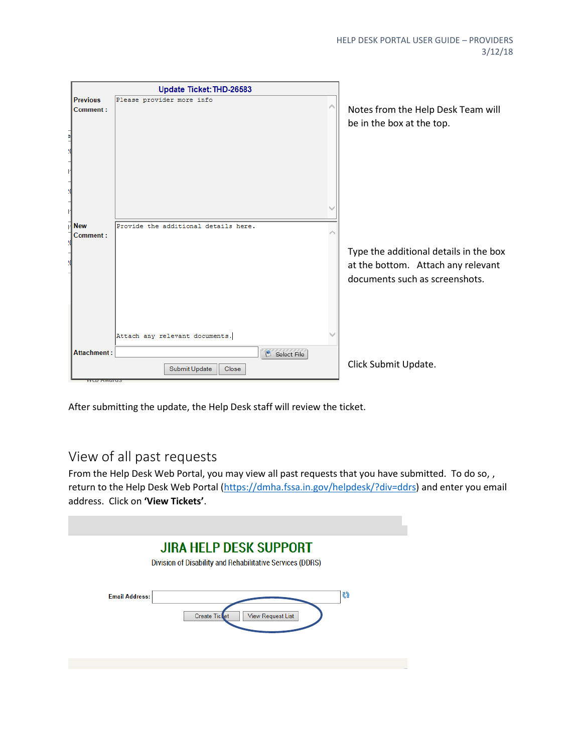|                             | Update Ticket: THD-26583                                                |                                                                                                                |
|-----------------------------|-------------------------------------------------------------------------|----------------------------------------------------------------------------------------------------------------|
| <b>Previous</b><br>Comment: | Please provider more info                                               | Notes from the Help Desk Team will<br>be in the box at the top.                                                |
| <b>New</b><br>Comment:      | Provide the additional details here.                                    | Type the additional details in the box<br>at the bottom. Attach any relevant<br>documents such as screenshots. |
| <b>Attachment:</b>          | Attach any relevant documents.<br>Select File<br>Submit Update<br>Close | Click Submit Update.                                                                                           |

After submitting the update, the Help Desk staff will review the ticket.

# View of all past requests

From the Help Desk Web Portal, you may view all past requests that you have submitted. To do so, , return to the Help Desk Web Portal [\(https://dmha.fssa.in.gov/helpdesk/?div=ddrs\)](https://dmha.fssa.in.gov/helpdesk/?div=ddrs) and enter you email address. Click on **'View Tickets'**.

|                       | <b>JIRA HELP DESK SUPPORT</b><br>Division of Disability and Rehabilitative Services (DDRS) |    |
|-----------------------|--------------------------------------------------------------------------------------------|----|
| <b>Email Address:</b> | <b>Create Ticket</b><br><b>View Request List</b>                                           | 65 |
|                       |                                                                                            |    |